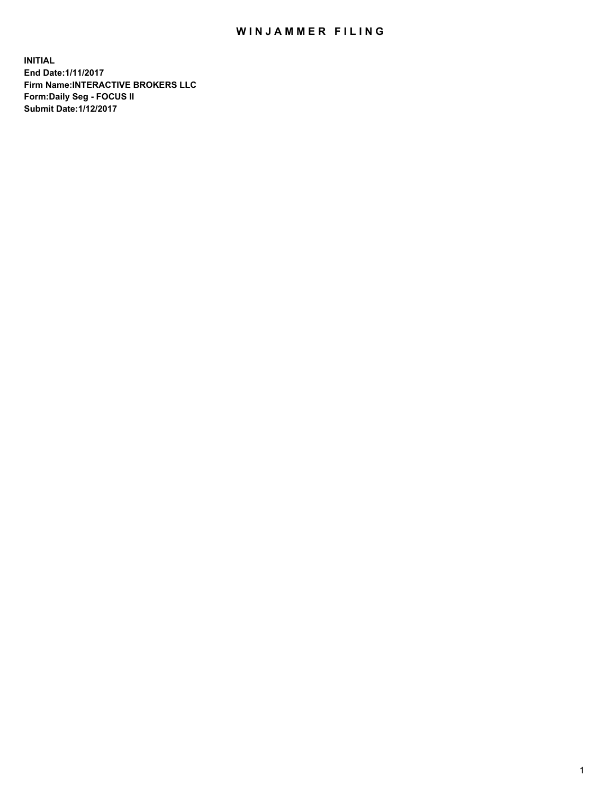## WIN JAMMER FILING

**INITIAL End Date:1/11/2017 Firm Name:INTERACTIVE BROKERS LLC Form:Daily Seg - FOCUS II Submit Date:1/12/2017**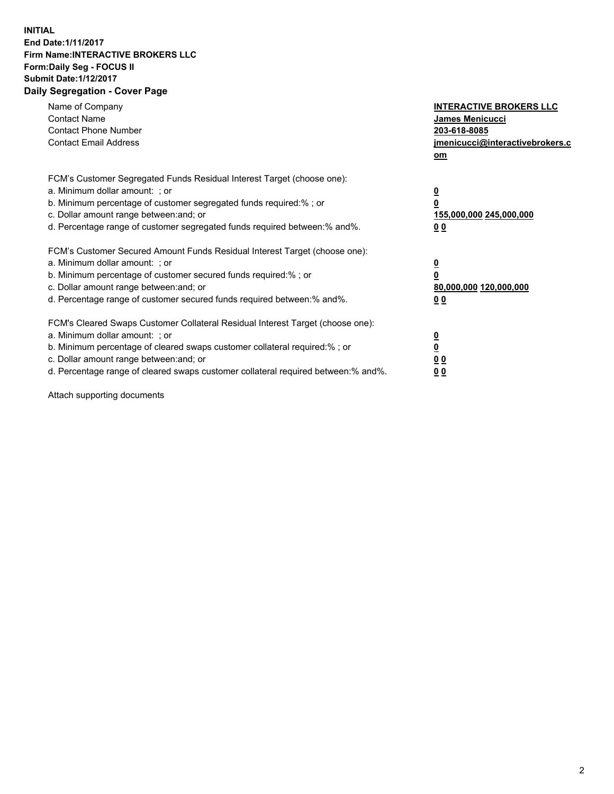## **INITIAL End Date:1/11/2017 Firm Name:INTERACTIVE BROKERS LLC Form:Daily Seg - FOCUS II Submit Date:1/12/2017 Daily Segregation - Cover Page**

| Name of Company<br><b>Contact Name</b><br><b>Contact Phone Number</b><br><b>Contact Email Address</b>                                                                                                                                                                                                                          | <b>INTERACTIVE BROKERS LLC</b><br>James Menicucci<br>203-618-8085<br>jmenicucci@interactivebrokers.c<br>om |
|--------------------------------------------------------------------------------------------------------------------------------------------------------------------------------------------------------------------------------------------------------------------------------------------------------------------------------|------------------------------------------------------------------------------------------------------------|
| FCM's Customer Segregated Funds Residual Interest Target (choose one):<br>a. Minimum dollar amount: ; or<br>b. Minimum percentage of customer segregated funds required:%; or<br>c. Dollar amount range between: and; or<br>d. Percentage range of customer segregated funds required between:% and%.                          | $\overline{\mathbf{0}}$<br>0<br>155,000,000 245,000,000<br>0 <sub>0</sub>                                  |
| FCM's Customer Secured Amount Funds Residual Interest Target (choose one):<br>a. Minimum dollar amount: ; or<br>b. Minimum percentage of customer secured funds required:%; or<br>c. Dollar amount range between: and; or<br>d. Percentage range of customer secured funds required between:% and%.                            | $\overline{\mathbf{0}}$<br>$\overline{\mathbf{0}}$<br>80,000,000 120,000,000<br>00                         |
| FCM's Cleared Swaps Customer Collateral Residual Interest Target (choose one):<br>a. Minimum dollar amount: ; or<br>b. Minimum percentage of cleared swaps customer collateral required:% ; or<br>c. Dollar amount range between: and; or<br>d. Percentage range of cleared swaps customer collateral required between:% and%. | $\overline{\mathbf{0}}$<br>$\overline{\mathbf{0}}$<br>0 <sub>0</sub><br><u>00</u>                          |

Attach supporting documents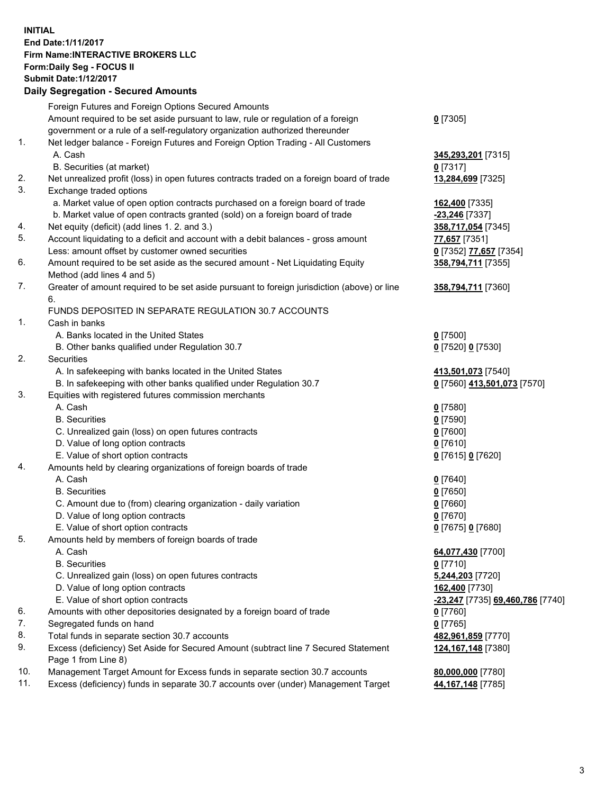## **INITIAL End Date:1/11/2017 Firm Name:INTERACTIVE BROKERS LLC Form:Daily Seg - FOCUS II Submit Date:1/12/2017 Daily Segregation - Secured Amounts**

|     | Pany Obgrogation Obbarba / 11110ani                                                                        |                                  |
|-----|------------------------------------------------------------------------------------------------------------|----------------------------------|
|     | Foreign Futures and Foreign Options Secured Amounts                                                        |                                  |
|     | Amount required to be set aside pursuant to law, rule or regulation of a foreign                           | $0$ [7305]                       |
|     | government or a rule of a self-regulatory organization authorized thereunder                               |                                  |
| 1.  | Net ledger balance - Foreign Futures and Foreign Option Trading - All Customers                            |                                  |
|     | A. Cash                                                                                                    | 345,293,201 [7315]               |
|     | B. Securities (at market)                                                                                  | 0 [7317]                         |
| 2.  | Net unrealized profit (loss) in open futures contracts traded on a foreign board of trade                  | 13,284,699 [7325]                |
| 3.  | Exchange traded options                                                                                    |                                  |
|     | a. Market value of open option contracts purchased on a foreign board of trade                             | 162,400 [7335]                   |
|     | b. Market value of open contracts granted (sold) on a foreign board of trade                               | <b>23,246</b> [7337]             |
| 4.  | Net equity (deficit) (add lines 1.2. and 3.)                                                               | 358,717,054 [7345]               |
| 5.  | Account liquidating to a deficit and account with a debit balances - gross amount                          | 77,657 [7351]                    |
|     | Less: amount offset by customer owned securities                                                           | 0 [7352] 77,657 [7354]           |
| 6.  | Amount required to be set aside as the secured amount - Net Liquidating Equity                             | 358,794,711 [7355]               |
|     | Method (add lines 4 and 5)                                                                                 |                                  |
| 7.  | Greater of amount required to be set aside pursuant to foreign jurisdiction (above) or line                | 358,794,711 [7360]               |
|     | 6.                                                                                                         |                                  |
|     | FUNDS DEPOSITED IN SEPARATE REGULATION 30.7 ACCOUNTS                                                       |                                  |
| 1.  | Cash in banks                                                                                              |                                  |
|     | A. Banks located in the United States                                                                      | $0$ [7500]                       |
|     | B. Other banks qualified under Regulation 30.7                                                             | 0 [7520] 0 [7530]                |
| 2.  | <b>Securities</b>                                                                                          |                                  |
|     | A. In safekeeping with banks located in the United States                                                  | 413,501,073 [7540]               |
|     | B. In safekeeping with other banks qualified under Regulation 30.7                                         | 0 [7560] 413,501,073 [7570]      |
| 3.  | Equities with registered futures commission merchants                                                      |                                  |
|     | A. Cash                                                                                                    | $0$ [7580]                       |
|     | <b>B.</b> Securities                                                                                       | $0$ [7590]                       |
|     | C. Unrealized gain (loss) on open futures contracts                                                        | $0$ [7600]                       |
|     | D. Value of long option contracts                                                                          | $0$ [7610]                       |
|     | E. Value of short option contracts                                                                         | 0 [7615] 0 [7620]                |
| 4.  | Amounts held by clearing organizations of foreign boards of trade                                          |                                  |
|     | A. Cash                                                                                                    | $0$ [7640]                       |
|     | <b>B.</b> Securities                                                                                       | $0$ [7650]                       |
|     | C. Amount due to (from) clearing organization - daily variation                                            | $0$ [7660]                       |
|     | D. Value of long option contracts                                                                          | $0$ [7670]                       |
|     | E. Value of short option contracts                                                                         | 0 [7675] 0 [7680]                |
| 5.  | Amounts held by members of foreign boards of trade                                                         |                                  |
|     | A. Cash                                                                                                    | 64,077,430 [7700]                |
|     | <b>B.</b> Securities                                                                                       | $0$ [7710]                       |
|     | C. Unrealized gain (loss) on open futures contracts                                                        | 5,244,203 [7720]                 |
|     | D. Value of long option contracts                                                                          | 162,400 [7730]                   |
|     | E. Value of short option contracts                                                                         | -23,247 [7735] 69,460,786 [7740] |
| 6.  | Amounts with other depositories designated by a foreign board of trade                                     | 0 [7760]                         |
| 7.  | Segregated funds on hand                                                                                   | $0$ [7765]                       |
| 8.  | Total funds in separate section 30.7 accounts                                                              | 482,961,859 [7770]               |
| 9.  | Excess (deficiency) Set Aside for Secured Amount (subtract line 7 Secured Statement<br>Page 1 from Line 8) | 124,167,148 [7380]               |
| 10. | Management Target Amount for Excess funds in separate section 30.7 accounts                                | 80,000,000 [7780]                |
| 11. | Excess (deficiency) funds in separate 30.7 accounts over (under) Management Target                         | 44,167,148 [7785]                |
|     |                                                                                                            |                                  |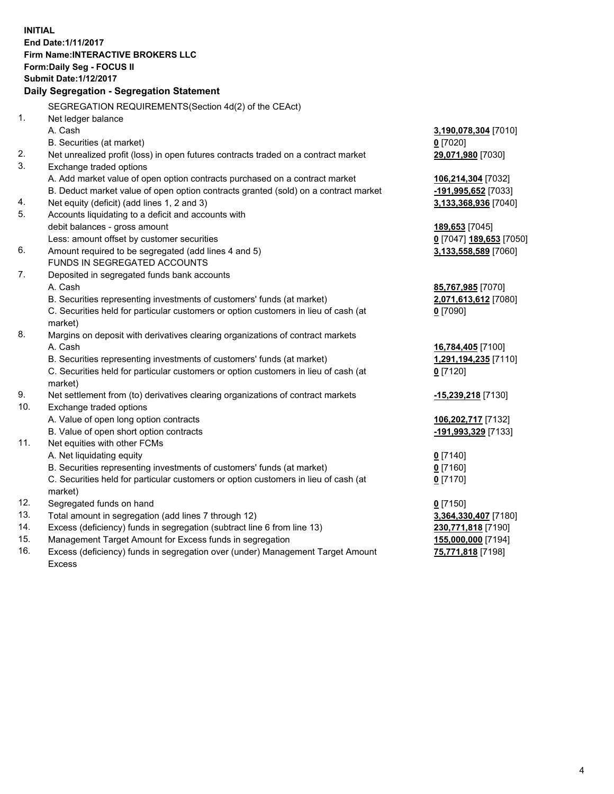**INITIAL End Date:1/11/2017 Firm Name:INTERACTIVE BROKERS LLC Form:Daily Seg - FOCUS II Submit Date:1/12/2017 Daily Segregation - Segregation Statement** SEGREGATION REQUIREMENTS(Section 4d(2) of the CEAct) 1. Net ledger balance A. Cash **3,190,078,304** [7010] B. Securities (at market) **0** [7020] 2. Net unrealized profit (loss) in open futures contracts traded on a contract market **29,071,980** [7030] 3. Exchange traded options A. Add market value of open option contracts purchased on a contract market **106,214,304** [7032] B. Deduct market value of open option contracts granted (sold) on a contract market **-191,995,652** [7033] 4. Net equity (deficit) (add lines 1, 2 and 3) **3,133,368,936** [7040] 5. Accounts liquidating to a deficit and accounts with debit balances - gross amount **189,653** [7045] Less: amount offset by customer securities **0** [7047] **189,653** [7050] 6. Amount required to be segregated (add lines 4 and 5) **3,133,558,589** [7060] FUNDS IN SEGREGATED ACCOUNTS 7. Deposited in segregated funds bank accounts A. Cash **85,767,985** [7070] B. Securities representing investments of customers' funds (at market) **2,071,613,612** [7080] C. Securities held for particular customers or option customers in lieu of cash (at market) **0** [7090] 8. Margins on deposit with derivatives clearing organizations of contract markets A. Cash **16,784,405** [7100] B. Securities representing investments of customers' funds (at market) **1,291,194,235** [7110] C. Securities held for particular customers or option customers in lieu of cash (at market) **0** [7120] 9. Net settlement from (to) derivatives clearing organizations of contract markets **-15,239,218** [7130] 10. Exchange traded options A. Value of open long option contracts **106,202,717** [7132] B. Value of open short option contracts **-191,993,329** [7133] 11. Net equities with other FCMs A. Net liquidating equity **0** [7140] B. Securities representing investments of customers' funds (at market) **0** [7160] C. Securities held for particular customers or option customers in lieu of cash (at market) **0** [7170] 12. Segregated funds on hand **0** [7150] 13. Total amount in segregation (add lines 7 through 12) **3,364,330,407** [7180] 14. Excess (deficiency) funds in segregation (subtract line 6 from line 13) **230,771,818** [7190] 15. Management Target Amount for Excess funds in segregation **155,000,000** [7194] **75,771,818** [7198]

16. Excess (deficiency) funds in segregation over (under) Management Target Amount Excess